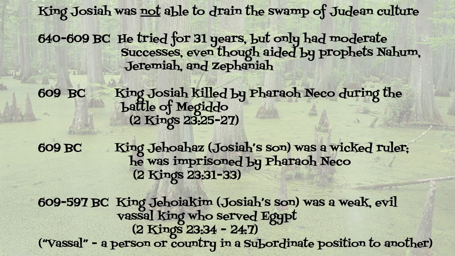King Josiah was not able to drain the swamp of Judean culture

640-609 BC He tried for 31 years, but only had moderate Successes, even though aided by prophets Nahum, Jeremiah, and Zephaniah

609 BC King Josiah killed by Pharaoh Neco during the battle of Megiddo (2 Kings 23:25-27)

609 BC King Jehoahaz (Josiah's son) was a wicked ruler; he was imprisoned by Pharaoh Neco (2 Kings 23:31-33)

609-597 BC King Jehoiakim (Josiah's son) was a weak, evil vassal king who served Egypt (2 Kings 23:34 - 24:7) ("Vassal" - a person or country in a Subordinate position to another)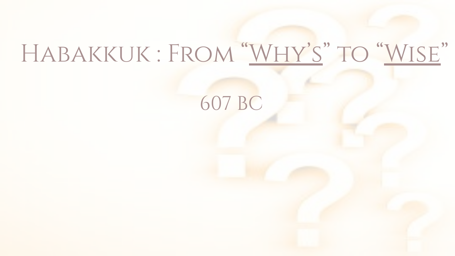# Habakkuk : From "Why's" to "Wise"

607 BC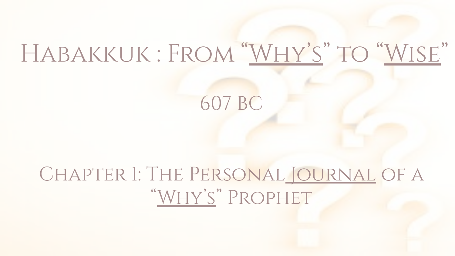# Habakkuk : From "Why's" to "Wise"

607 BC

# Chapter 1: The Personal Journal of a "Why's" Prophet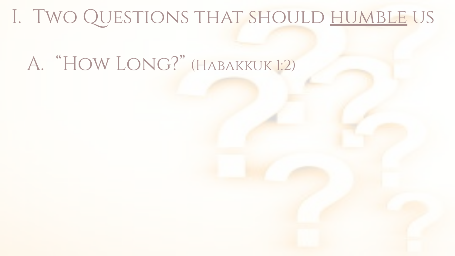# A. "How Long?" (Habakkuk 1:2)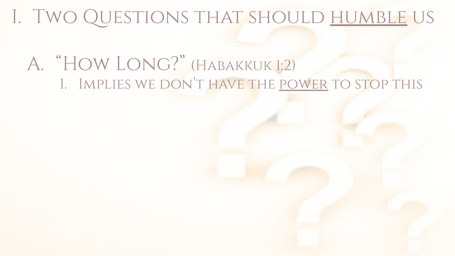A. "How Long?" (Habakkuk 1:2) 1. Implies we don't have the power to stop this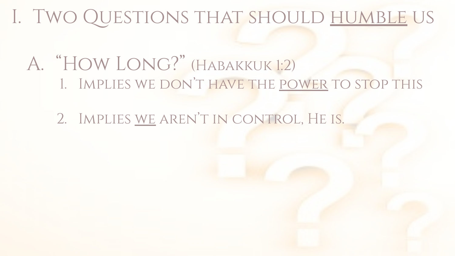#### A. "How Long?" (Habakkuk 1:2) 1. Implies we don't have the power to stop this

2. Implies we aren't in control, He is.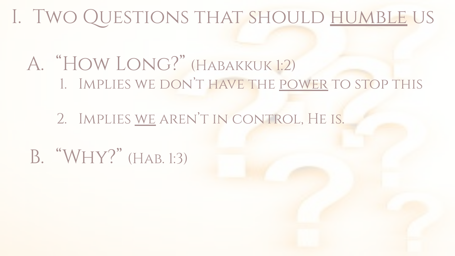- A. "How Long?" (Habakkuk 1:2) 1. Implies we don't have the power to stop this
	- 2. Implies we aren't in control, He is.
- B. "Why?" (Hab. 1:3)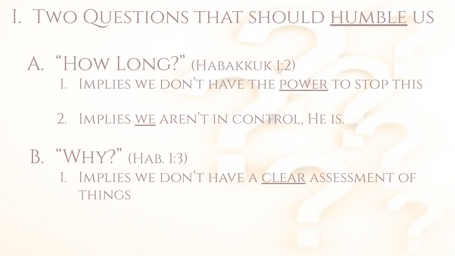#### A. "How Long?" (Habakkuk 1:2) 1. Implies we don't have the power to stop this

2. Implies we aren't in control, He is.

#### B. "Why?" (Hab. 1:3)

1. Implies we don't have a clear assessment of **THINGS**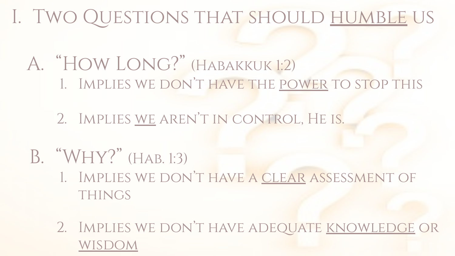#### A. "How Long?" (Habakkuk 1:2) 1. Implies we don't have the power to stop this

2. Implies we aren't in control, He is.

#### B. "Why?" (Hab. 1:3)

- 1. Implies we don't have a clear assessment of **THINGS**
- 2. Implies we don't have adequate knowledge or wisdom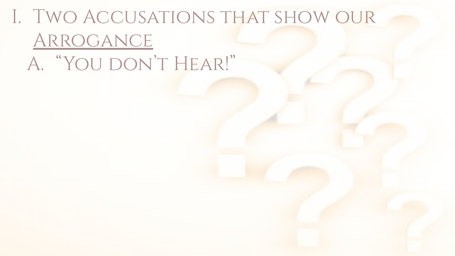# I. Two Accusations that show our Arrogance A. "You don't Hear!"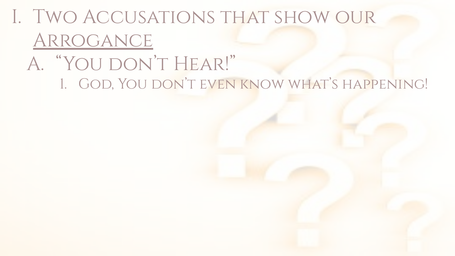### A. "You don't Hear!" 1. God, You don't even know what's happening!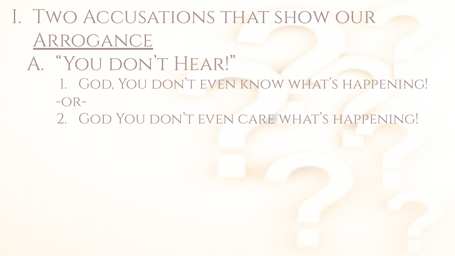- A. "You don't Hear!"
	- 1. God, You don't even know what's happening!  $-OR-$
	- 2. God You don't even care what's happening!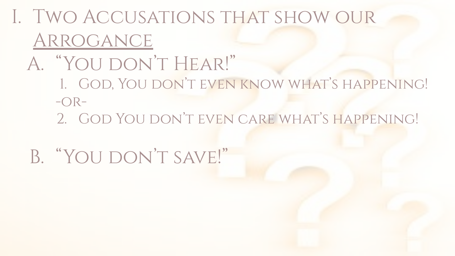- A. "You don't Hear!"
	- 1. God, You don't even know what's happening!  $-OR-$ 
		- 2. God You don't even care what's happening!
	- B. "YOU DON'T SAVE!"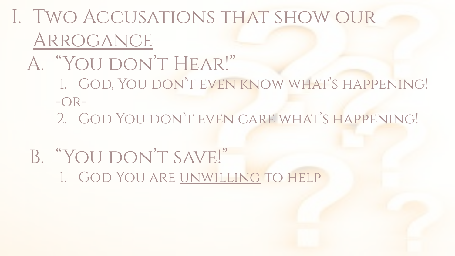- A. "You don't Hear!"
	- 1. God, You don't even know what's happening!  $-OR-$ 
		- 2. God You don't even care what's happening!
- B. "YOU DON'T SAVE!" 1. God You are unwilling to help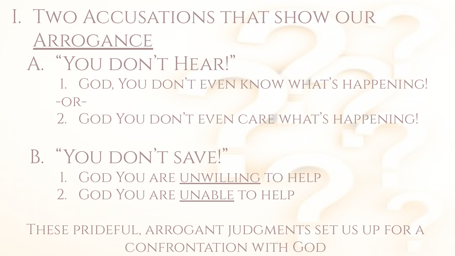- A. "You don't Hear!"
	- 1. God, You don't even know what's happening!  $-OR-$ 
		- 2. God You don't even care what's happening!
- B. "YOU DON'T SAVE!" 1. God You are unwilling to help
	- 2. God You are unable to help

These prideful, arrogant judgments set us up for a confrontation with God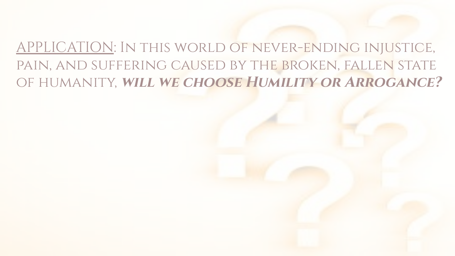#### APPLICATION: In this world of never-ending injustice, pain, and suffering caused by the broken, fallen state of humanity, **will we choose Humility or Arrogance?**